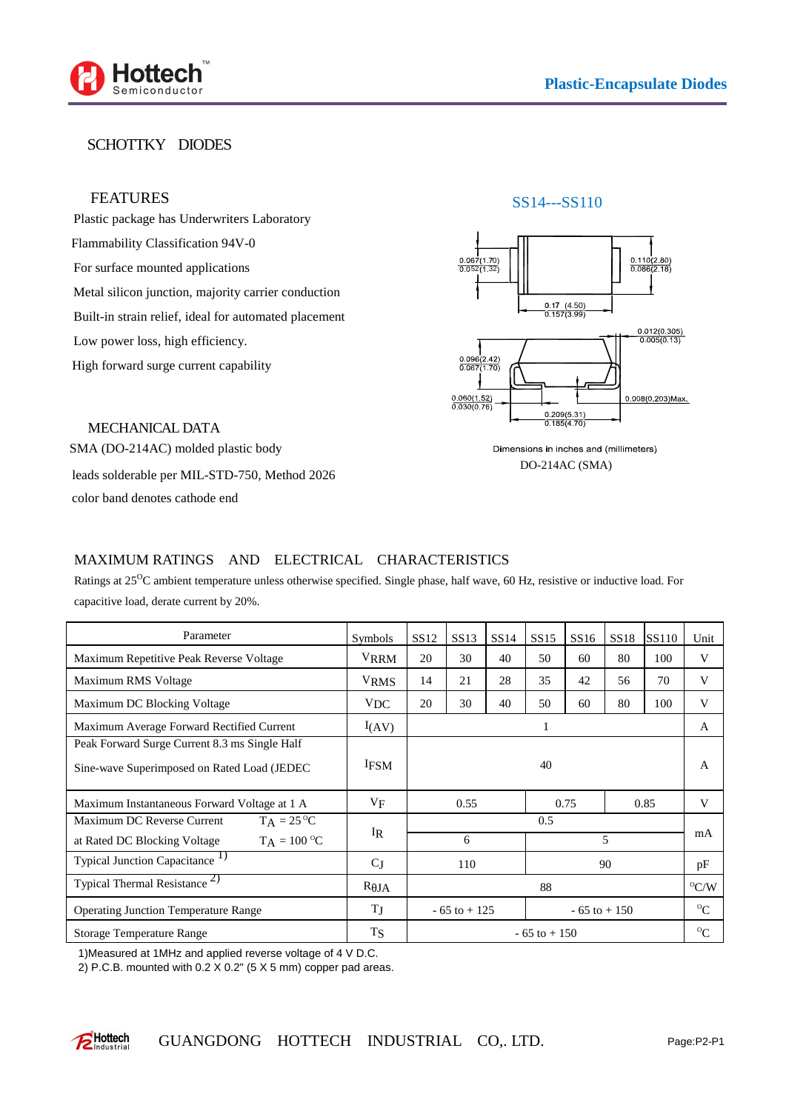

# SCHOTTKY DIODES

## FEATURES

Plastic package has Underwriters Laboratory Flammability Classification 94V-0 For surface mounted applications Metal silicon junction, majority carrier conduction Built-in strain relief, ideal for automated placement Low power loss, high efficiency. High forward surge current capability





MECHANICAL DATA SMA (DO-214AC) molded plastic body leads solderable per MIL-STD-750, Method 2026 color band denotes cathode end

#### Dimensions in inches and (millimeters) DO-214AC (SMA)

### MAXIMUM RATINGS AND ELECTRICAL CHARACTERISTICS

Ratings at 25<sup>O</sup>C ambient temperature unless otherwise specified. Single phase, half wave, 60 Hz, resistive or inductive load. For capacitive load, derate current by 20%.

| Parameter                                                                                     | <b>Symbols</b> | SS <sub>12</sub> | <b>SS13</b> | SS14 | <b>SS15</b> | SS <sub>16</sub> | <b>SS18</b> | SS110         | Unit        |
|-----------------------------------------------------------------------------------------------|----------------|------------------|-------------|------|-------------|------------------|-------------|---------------|-------------|
| Maximum Repetitive Peak Reverse Voltage                                                       | <b>VRRM</b>    | 20               | 30          | 40   | 50          | 60               | 80          | 100           | V           |
| Maximum RMS Voltage                                                                           | <b>VRMS</b>    | 14               | 21          | 28   | 35          | 42               | 56          | 70            | V           |
| Maximum DC Blocking Voltage                                                                   | <b>VDC</b>     | 20               | 30          | 40   | 50          | 60               | 80          | 100           | V           |
| Maximum Average Forward Rectified Current                                                     | I(AV)          | 1                |             |      |             |                  |             |               | A           |
| Peak Forward Surge Current 8.3 ms Single Half<br>Sine-wave Superimposed on Rated Load (JEDEC) | <b>IFSM</b>    | 40               |             |      |             |                  |             | A             |             |
| Maximum Instantaneous Forward Voltage at 1 A                                                  | VF             | 0.55             |             | 0.75 |             | 0.85             |             | V             |             |
| $T_A = 25 \degree C$<br>Maximum DC Reverse Current                                            | $\rm I_R$      |                  |             | 0.5  |             |                  |             |               | mA          |
| $T_A = 100 °C$<br>at Rated DC Blocking Voltage                                                |                | 6                |             |      | 5           |                  |             |               |             |
| Typical Junction Capacitance <sup>1)</sup>                                                    | $C_{J}$        | 110<br>90        |             |      |             | pF               |             |               |             |
| Typical Thermal Resistance <sup>2)</sup>                                                      | $R$ JA         | 88               |             |      |             |                  |             | $\rm ^{O}C/W$ |             |
| <b>Operating Junction Temperature Range</b>                                                   | TJ             | $-65$ to $+125$  |             |      |             | $-65$ to $+150$  |             |               | $^{\circ}C$ |
| <b>Storage Temperature Range</b>                                                              | <b>TS</b>      | $-65$ to $+150$  |             |      |             |                  |             |               | $\alpha$    |

1)Measured at 1MHz and applied reverse voltage of 4 V D.C.

2) P.C.B. mounted with 0.2 X 0.2" (5 X 5 mm) copper pad areas.